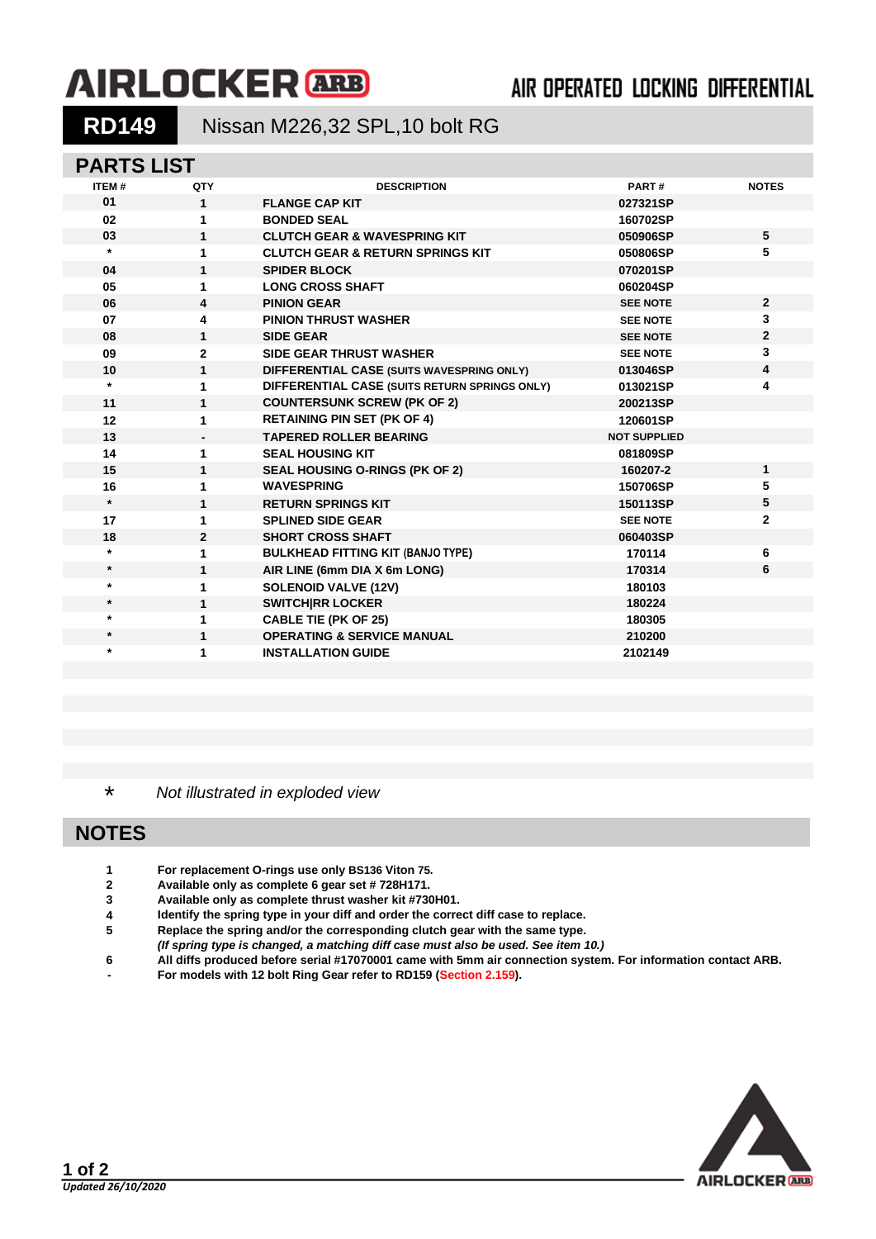# **AIRLOCKER** ARB

## AIR OPERATED LOCKING DIFFERENTIAL

**RD149** Nissan M226,32 SPL,10 bolt RG

### **PARTS LIST**

| <b>ITEM#</b> | QTY          | <b>DESCRIPTION</b>                            | PART#               | <b>NOTES</b> |
|--------------|--------------|-----------------------------------------------|---------------------|--------------|
| 01           | 1            | <b>FLANGE CAP KIT</b>                         | 027321SP            |              |
| 02           | 1            | <b>BONDED SEAL</b>                            | 160702SP            |              |
| 03           | 1            | <b>CLUTCH GEAR &amp; WAVESPRING KIT</b>       | 050906SP            | 5            |
| $\star$      | 1            | <b>CLUTCH GEAR &amp; RETURN SPRINGS KIT</b>   | 050806SP            | 5            |
| 04           | 1            | <b>SPIDER BLOCK</b>                           | 070201SP            |              |
| 05           | 1            | <b>LONG CROSS SHAFT</b>                       | 060204SP            |              |
| 06           | 4            | <b>PINION GEAR</b>                            | <b>SEE NOTE</b>     | $\mathbf{2}$ |
| 07           | 4            | <b>PINION THRUST WASHER</b>                   | <b>SEE NOTE</b>     | 3            |
| 08           | $\mathbf{1}$ | <b>SIDE GEAR</b>                              | <b>SEE NOTE</b>     | $\mathbf{2}$ |
| 09           | $\mathbf{2}$ | <b>SIDE GEAR THRUST WASHER</b>                | <b>SEE NOTE</b>     | 3            |
| 10           | $\mathbf{1}$ | DIFFERENTIAL CASE (SUITS WAVESPRING ONLY)     | 013046SP            | 4            |
| $\star$      | 1            | DIFFERENTIAL CASE (SUITS RETURN SPRINGS ONLY) | 013021SP            | 4            |
| 11           | 1            | <b>COUNTERSUNK SCREW (PK OF 2)</b>            | 200213SP            |              |
| 12           | 1            | <b>RETAINING PIN SET (PK OF 4)</b>            | 120601SP            |              |
| 13           |              | <b>TAPERED ROLLER BEARING</b>                 | <b>NOT SUPPLIED</b> |              |
| 14           | 1            | <b>SEAL HOUSING KIT</b>                       | 081809SP            |              |
| 15           | 1            | <b>SEAL HOUSING O-RINGS (PK OF 2)</b>         | 160207-2            | 1            |
| 16           | 1            | <b>WAVESPRING</b>                             | 150706SP            | 5            |
| $\star$      | 1            | <b>RETURN SPRINGS KIT</b>                     | 150113SP            | 5            |
| 17           | 1            | <b>SPLINED SIDE GEAR</b>                      | <b>SEE NOTE</b>     | $\mathbf{2}$ |
| 18           | $\mathbf{2}$ | <b>SHORT CROSS SHAFT</b>                      | 060403SP            |              |
| $\star$      | 1            | <b>BULKHEAD FITTING KIT (BANJO TYPE)</b>      | 170114              | 6            |
| $\star$      | 1            | AIR LINE (6mm DIA X 6m LONG)                  | 170314              | 6            |
| $\star$      | 1            | <b>SOLENOID VALVE (12V)</b>                   | 180103              |              |
| $\star$      | $\mathbf{1}$ | <b>SWITCHIRR LOCKER</b>                       | 180224              |              |
| $\ast$       | 1            | <b>CABLE TIE (PK OF 25)</b>                   | 180305              |              |
| $\star$      | 1            | <b>OPERATING &amp; SERVICE MANUAL</b>         | 210200              |              |
| $\ast$       | 1            | <b>INSTALLATION GUIDE</b>                     | 2102149             |              |
|              |              |                                               |                     |              |

\* *Not illustrated in exploded view*

### **NOTES**

- **1 For replacement O-rings use only BS136 Viton 75.**
- **2 Available only as complete 6 gear set # 728H171.**
- **3 Available only as complete thrust washer kit #730H01.**
- **4 Identify the spring type in your diff and order the correct diff case to replace.**
- **5 Replace the spring and/or the corresponding clutch gear with the same type.**
- *(If spring type is changed, a matching diff case must also be used. See item 10.)*
- **6 All diffs produced before serial #17070001 came with 5mm air connection system. For information contact ARB.**
- **- For models with 12 bolt Ring Gear refer to RD159 [\(Section 2.159\)](2-RD159.pdf).**